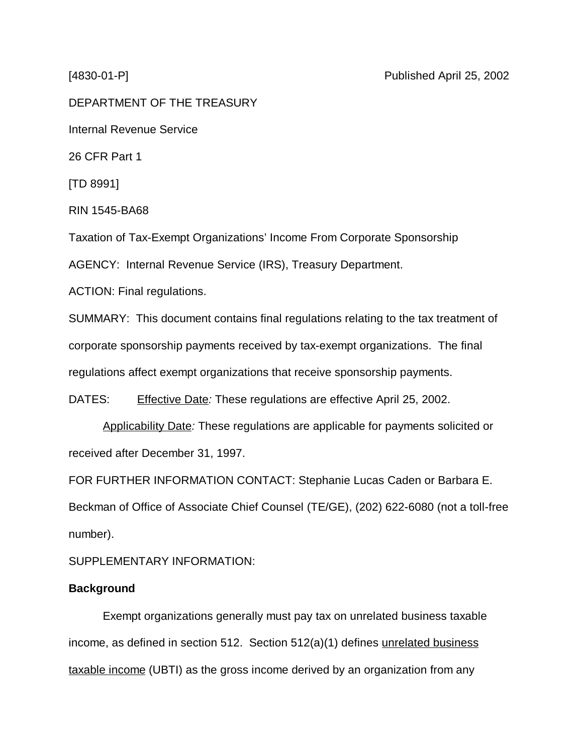DEPARTMENT OF THE TREASURY Internal Revenue Service 26 CFR Part 1 [TD 8991] RIN 1545-BA68 Taxation of Tax-Exempt Organizations' Income From Corporate Sponsorship AGENCY: Internal Revenue Service (IRS), Treasury Department. ACTION: Final regulations.

SUMMARY: This document contains final regulations relating to the tax treatment of corporate sponsorship payments received by tax-exempt organizations. The final regulations affect exempt organizations that receive sponsorship payments.

DATES: Effective Date: These regulations are effective April 25, 2002.

Applicability Date: These regulations are applicable for payments solicited or received after December 31, 1997.

FOR FURTHER INFORMATION CONTACT: Stephanie Lucas Caden or Barbara E. Beckman of Office of Associate Chief Counsel (TE/GE), (202) 622-6080 (not a toll-free number).

SUPPLEMENTARY INFORMATION:

# **Background**

Exempt organizations generally must pay tax on unrelated business taxable income, as defined in section 512. Section 512(a)(1) defines unrelated business taxable income (UBTI) as the gross income derived by an organization from any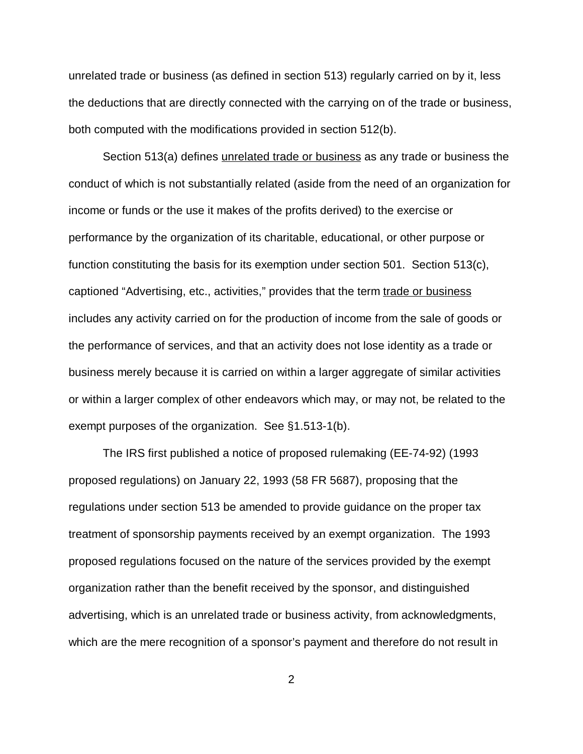unrelated trade or business (as defined in section 513) regularly carried on by it, less the deductions that are directly connected with the carrying on of the trade or business, both computed with the modifications provided in section 512(b).

Section 513(a) defines *unrelated trade or business* as any trade or business the conduct of which is not substantially related (aside from the need of an organization for income or funds or the use it makes of the profits derived) to the exercise or performance by the organization of its charitable, educational, or other purpose or function constituting the basis for its exemption under section 501. Section 513(c), captioned "Advertising, etc., activities," provides that the term trade or business includes any activity carried on for the production of income from the sale of goods or the performance of services, and that an activity does not lose identity as a trade or business merely because it is carried on within a larger aggregate of similar activities or within a larger complex of other endeavors which may, or may not, be related to the exempt purposes of the organization. See §1.513-1(b).

The IRS first published a notice of proposed rulemaking (EE-74-92) (1993 proposed regulations) on January 22, 1993 (58 FR 5687), proposing that the regulations under section 513 be amended to provide guidance on the proper tax treatment of sponsorship payments received by an exempt organization. The 1993 proposed regulations focused on the nature of the services provided by the exempt organization rather than the benefit received by the sponsor, and distinguished advertising, which is an unrelated trade or business activity, from acknowledgments, which are the mere recognition of a sponsor's payment and therefore do not result in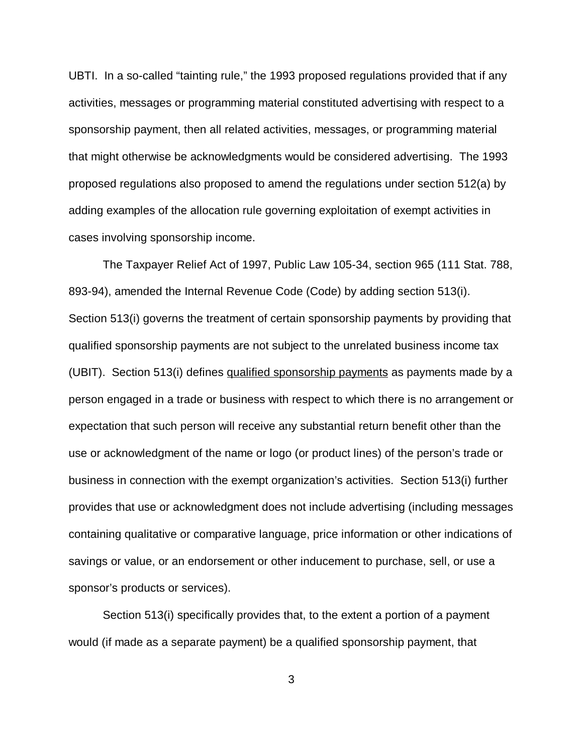UBTI. In a so-called "tainting rule," the 1993 proposed regulations provided that if any activities, messages or programming material constituted advertising with respect to a sponsorship payment, then all related activities, messages, or programming material that might otherwise be acknowledgments would be considered advertising. The 1993 proposed regulations also proposed to amend the regulations under section 512(a) by adding examples of the allocation rule governing exploitation of exempt activities in cases involving sponsorship income.

The Taxpayer Relief Act of 1997, Public Law 105-34, section 965 (111 Stat. 788, 893-94), amended the Internal Revenue Code (Code) by adding section 513(i). Section 513(i) governs the treatment of certain sponsorship payments by providing that qualified sponsorship payments are not subject to the unrelated business income tax (UBIT). Section 513(i) defines qualified sponsorship payments as payments made by a person engaged in a trade or business with respect to which there is no arrangement or expectation that such person will receive any substantial return benefit other than the use or acknowledgment of the name or logo (or product lines) of the person's trade or business in connection with the exempt organization's activities. Section 513(i) further provides that use or acknowledgment does not include advertising (including messages containing qualitative or comparative language, price information or other indications of savings or value, or an endorsement or other inducement to purchase, sell, or use a sponsor's products or services).

Section 513(i) specifically provides that, to the extent a portion of a payment would (if made as a separate payment) be a qualified sponsorship payment, that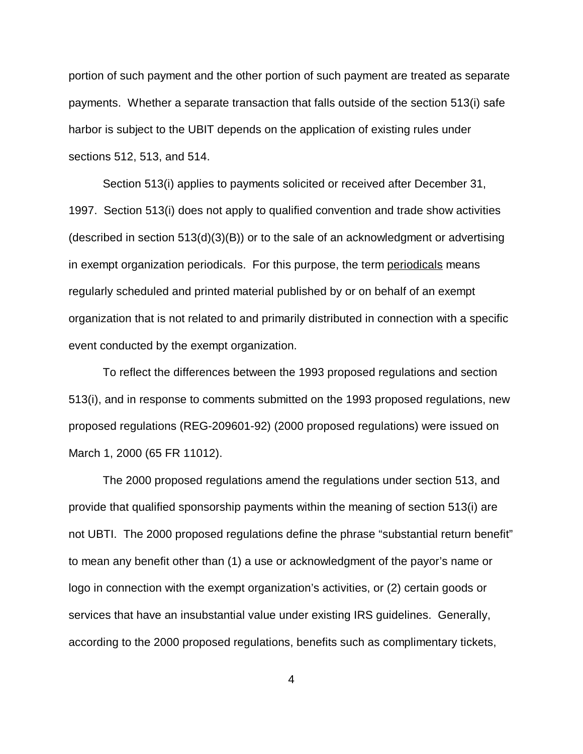portion of such payment and the other portion of such payment are treated as separate payments. Whether a separate transaction that falls outside of the section 513(i) safe harbor is subject to the UBIT depends on the application of existing rules under sections 512, 513, and 514.

Section 513(i) applies to payments solicited or received after December 31, 1997. Section 513(i) does not apply to qualified convention and trade show activities (described in section 513(d)(3)(B)) or to the sale of an acknowledgment or advertising in exempt organization periodicals. For this purpose, the term periodicals means regularly scheduled and printed material published by or on behalf of an exempt organization that is not related to and primarily distributed in connection with a specific event conducted by the exempt organization.

To reflect the differences between the 1993 proposed regulations and section 513(i), and in response to comments submitted on the 1993 proposed regulations, new proposed regulations (REG-209601-92) (2000 proposed regulations) were issued on March 1, 2000 (65 FR 11012).

The 2000 proposed regulations amend the regulations under section 513, and provide that qualified sponsorship payments within the meaning of section 513(i) are not UBTI. The 2000 proposed regulations define the phrase "substantial return benefit" to mean any benefit other than (1) a use or acknowledgment of the payor's name or logo in connection with the exempt organization's activities, or (2) certain goods or services that have an insubstantial value under existing IRS guidelines. Generally, according to the 2000 proposed regulations, benefits such as complimentary tickets,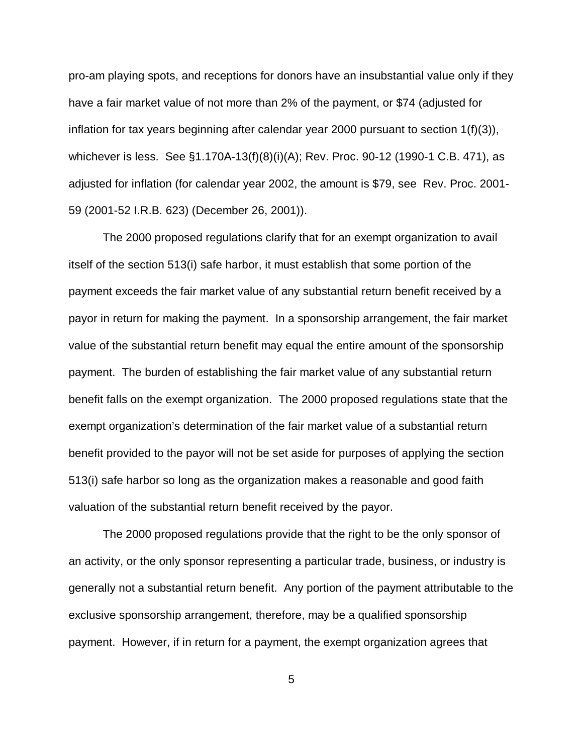pro-am playing spots, and receptions for donors have an insubstantial value only if they have a fair market value of not more than 2% of the payment, or \$74 (adjusted for inflation for tax years beginning after calendar year 2000 pursuant to section 1(f)(3)), whichever is less. See §1.170A-13(f)(8)(i)(A); Rev. Proc. 90-12 (1990-1 C.B. 471), as adjusted for inflation (for calendar year 2002, the amount is \$79, see Rev. Proc. 2001- 59 (2001-52 I.R.B. 623) (December 26, 2001)).

The 2000 proposed regulations clarify that for an exempt organization to avail itself of the section 513(i) safe harbor, it must establish that some portion of the payment exceeds the fair market value of any substantial return benefit received by a payor in return for making the payment. In a sponsorship arrangement, the fair market value of the substantial return benefit may equal the entire amount of the sponsorship payment. The burden of establishing the fair market value of any substantial return benefit falls on the exempt organization. The 2000 proposed regulations state that the exempt organization's determination of the fair market value of a substantial return benefit provided to the payor will not be set aside for purposes of applying the section 513(i) safe harbor so long as the organization makes a reasonable and good faith valuation of the substantial return benefit received by the payor.

The 2000 proposed regulations provide that the right to be the only sponsor of an activity, or the only sponsor representing a particular trade, business, or industry is generally not a substantial return benefit. Any portion of the payment attributable to the exclusive sponsorship arrangement, therefore, may be a qualified sponsorship payment. However, if in return for a payment, the exempt organization agrees that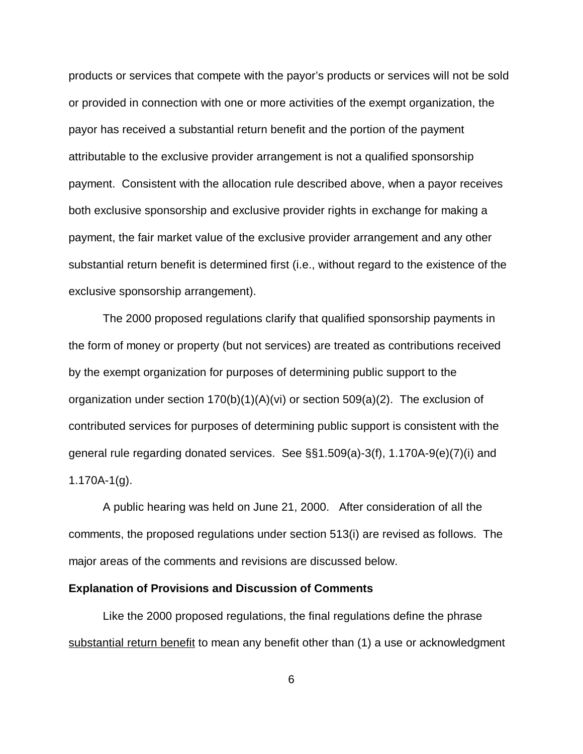products or services that compete with the payor's products or services will not be sold or provided in connection with one or more activities of the exempt organization, the payor has received a substantial return benefit and the portion of the payment attributable to the exclusive provider arrangement is not a qualified sponsorship payment. Consistent with the allocation rule described above, when a payor receives both exclusive sponsorship and exclusive provider rights in exchange for making a payment, the fair market value of the exclusive provider arrangement and any other substantial return benefit is determined first (i.e., without regard to the existence of the exclusive sponsorship arrangement).

The 2000 proposed regulations clarify that qualified sponsorship payments in the form of money or property (but not services) are treated as contributions received by the exempt organization for purposes of determining public support to the organization under section  $170(b)(1)(A)(vi)$  or section  $509(a)(2)$ . The exclusion of contributed services for purposes of determining public support is consistent with the general rule regarding donated services. See §§1.509(a)-3(f), 1.170A-9(e)(7)(i) and 1.170A-1(g).

A public hearing was held on June 21, 2000. After consideration of all the comments, the proposed regulations under section 513(i) are revised as follows. The major areas of the comments and revisions are discussed below.

#### **Explanation of Provisions and Discussion of Comments**

Like the 2000 proposed regulations, the final regulations define the phrase substantial return benefit to mean any benefit other than (1) a use or acknowledgment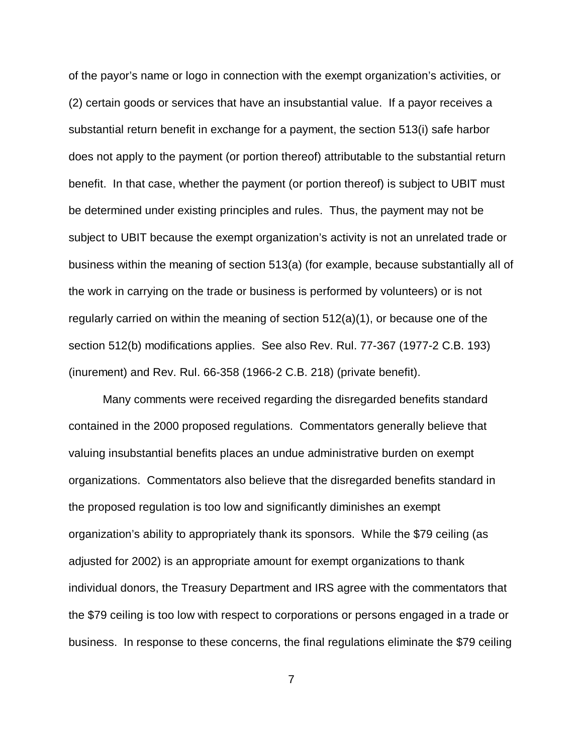of the payor's name or logo in connection with the exempt organization's activities, or (2) certain goods or services that have an insubstantial value. If a payor receives a substantial return benefit in exchange for a payment, the section 513(i) safe harbor does not apply to the payment (or portion thereof) attributable to the substantial return benefit. In that case, whether the payment (or portion thereof) is subject to UBIT must be determined under existing principles and rules. Thus, the payment may not be subject to UBIT because the exempt organization's activity is not an unrelated trade or business within the meaning of section 513(a) (for example, because substantially all of the work in carrying on the trade or business is performed by volunteers) or is not regularly carried on within the meaning of section 512(a)(1), or because one of the section 512(b) modifications applies. See also Rev. Rul. 77-367 (1977-2 C.B. 193) (inurement) and Rev. Rul. 66-358 (1966-2 C.B. 218) (private benefit).

Many comments were received regarding the disregarded benefits standard contained in the 2000 proposed regulations. Commentators generally believe that valuing insubstantial benefits places an undue administrative burden on exempt organizations. Commentators also believe that the disregarded benefits standard in the proposed regulation is too low and significantly diminishes an exempt organization's ability to appropriately thank its sponsors. While the \$79 ceiling (as adjusted for 2002) is an appropriate amount for exempt organizations to thank individual donors, the Treasury Department and IRS agree with the commentators that the \$79 ceiling is too low with respect to corporations or persons engaged in a trade or business. In response to these concerns, the final regulations eliminate the \$79 ceiling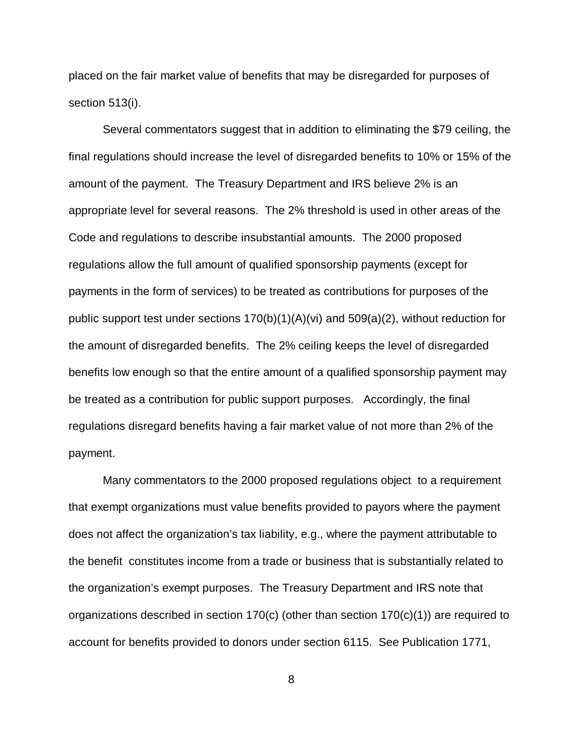placed on the fair market value of benefits that may be disregarded for purposes of section 513(i).

Several commentators suggest that in addition to eliminating the \$79 ceiling, the final regulations should increase the level of disregarded benefits to 10% or 15% of the amount of the payment. The Treasury Department and IRS believe 2% is an appropriate level for several reasons. The 2% threshold is used in other areas of the Code and regulations to describe insubstantial amounts. The 2000 proposed regulations allow the full amount of qualified sponsorship payments (except for payments in the form of services) to be treated as contributions for purposes of the public support test under sections  $170(b)(1)(A)(vi)$  and  $509(a)(2)$ , without reduction for the amount of disregarded benefits. The 2% ceiling keeps the level of disregarded benefits low enough so that the entire amount of a qualified sponsorship payment may be treated as a contribution for public support purposes. Accordingly, the final regulations disregard benefits having a fair market value of not more than 2% of the payment.

Many commentators to the 2000 proposed regulations object to a requirement that exempt organizations must value benefits provided to payors where the payment does not affect the organization's tax liability, e.g., where the payment attributable to the benefit constitutes income from a trade or business that is substantially related to the organization's exempt purposes. The Treasury Department and IRS note that organizations described in section 170(c) (other than section 170(c)(1)) are required to account for benefits provided to donors under section 6115. See Publication 1771,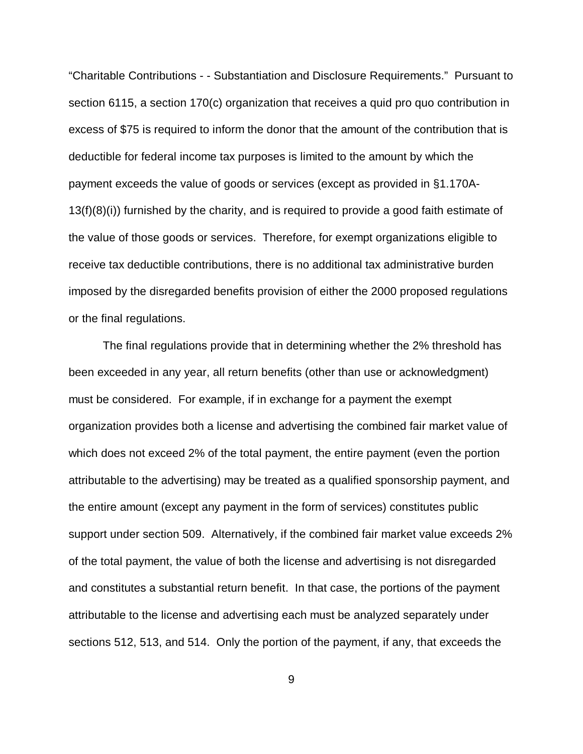"Charitable Contributions - - Substantiation and Disclosure Requirements." Pursuant to section 6115, a section 170(c) organization that receives a quid pro quo contribution in excess of \$75 is required to inform the donor that the amount of the contribution that is deductible for federal income tax purposes is limited to the amount by which the payment exceeds the value of goods or services (except as provided in §1.170A-13(f)(8)(i)) furnished by the charity, and is required to provide a good faith estimate of the value of those goods or services. Therefore, for exempt organizations eligible to receive tax deductible contributions, there is no additional tax administrative burden imposed by the disregarded benefits provision of either the 2000 proposed regulations or the final regulations.

The final regulations provide that in determining whether the 2% threshold has been exceeded in any year, all return benefits (other than use or acknowledgment) must be considered. For example, if in exchange for a payment the exempt organization provides both a license and advertising the combined fair market value of which does not exceed 2% of the total payment, the entire payment (even the portion attributable to the advertising) may be treated as a qualified sponsorship payment, and the entire amount (except any payment in the form of services) constitutes public support under section 509. Alternatively, if the combined fair market value exceeds 2% of the total payment, the value of both the license and advertising is not disregarded and constitutes a substantial return benefit. In that case, the portions of the payment attributable to the license and advertising each must be analyzed separately under sections 512, 513, and 514. Only the portion of the payment, if any, that exceeds the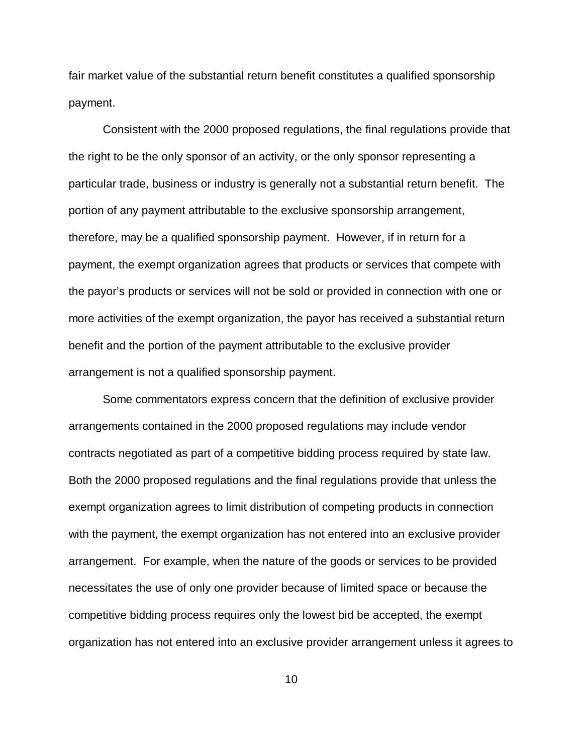fair market value of the substantial return benefit constitutes a qualified sponsorship payment.

Consistent with the 2000 proposed regulations, the final regulations provide that the right to be the only sponsor of an activity, or the only sponsor representing a particular trade, business or industry is generally not a substantial return benefit. The portion of any payment attributable to the exclusive sponsorship arrangement, therefore, may be a qualified sponsorship payment. However, if in return for a payment, the exempt organization agrees that products or services that compete with the payor's products or services will not be sold or provided in connection with one or more activities of the exempt organization, the payor has received a substantial return benefit and the portion of the payment attributable to the exclusive provider arrangement is not a qualified sponsorship payment.

Some commentators express concern that the definition of exclusive provider arrangements contained in the 2000 proposed regulations may include vendor contracts negotiated as part of a competitive bidding process required by state law. Both the 2000 proposed regulations and the final regulations provide that unless the exempt organization agrees to limit distribution of competing products in connection with the payment, the exempt organization has not entered into an exclusive provider arrangement. For example, when the nature of the goods or services to be provided necessitates the use of only one provider because of limited space or because the competitive bidding process requires only the lowest bid be accepted, the exempt organization has not entered into an exclusive provider arrangement unless it agrees to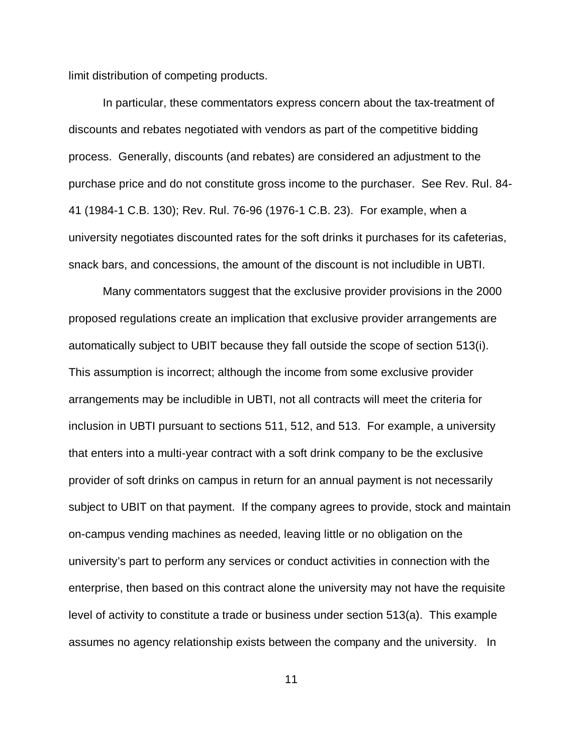limit distribution of competing products.

In particular, these commentators express concern about the tax-treatment of discounts and rebates negotiated with vendors as part of the competitive bidding process. Generally, discounts (and rebates) are considered an adjustment to the purchase price and do not constitute gross income to the purchaser. See Rev. Rul. 84- 41 (1984-1 C.B. 130); Rev. Rul. 76-96 (1976-1 C.B. 23). For example, when a university negotiates discounted rates for the soft drinks it purchases for its cafeterias, snack bars, and concessions, the amount of the discount is not includible in UBTI.

Many commentators suggest that the exclusive provider provisions in the 2000 proposed regulations create an implication that exclusive provider arrangements are automatically subject to UBIT because they fall outside the scope of section 513(i). This assumption is incorrect; although the income from some exclusive provider arrangements may be includible in UBTI, not all contracts will meet the criteria for inclusion in UBTI pursuant to sections 511, 512, and 513. For example, a university that enters into a multi-year contract with a soft drink company to be the exclusive provider of soft drinks on campus in return for an annual payment is not necessarily subject to UBIT on that payment. If the company agrees to provide, stock and maintain on-campus vending machines as needed, leaving little or no obligation on the university's part to perform any services or conduct activities in connection with the enterprise, then based on this contract alone the university may not have the requisite level of activity to constitute a trade or business under section 513(a). This example assumes no agency relationship exists between the company and the university. In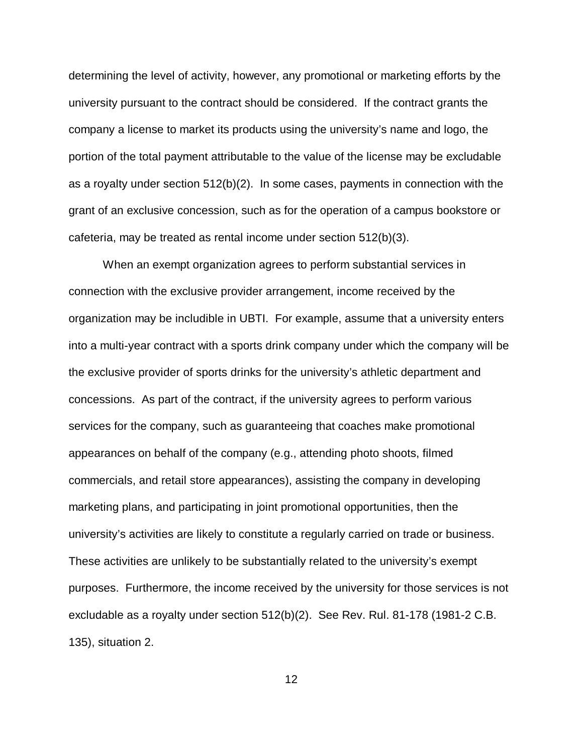determining the level of activity, however, any promotional or marketing efforts by the university pursuant to the contract should be considered. If the contract grants the company a license to market its products using the university's name and logo, the portion of the total payment attributable to the value of the license may be excludable as a royalty under section 512(b)(2). In some cases, payments in connection with the grant of an exclusive concession, such as for the operation of a campus bookstore or cafeteria, may be treated as rental income under section 512(b)(3).

When an exempt organization agrees to perform substantial services in connection with the exclusive provider arrangement, income received by the organization may be includible in UBTI. For example, assume that a university enters into a multi-year contract with a sports drink company under which the company will be the exclusive provider of sports drinks for the university's athletic department and concessions. As part of the contract, if the university agrees to perform various services for the company, such as guaranteeing that coaches make promotional appearances on behalf of the company (e.g., attending photo shoots, filmed commercials, and retail store appearances), assisting the company in developing marketing plans, and participating in joint promotional opportunities, then the university's activities are likely to constitute a regularly carried on trade or business. These activities are unlikely to be substantially related to the university's exempt purposes. Furthermore, the income received by the university for those services is not excludable as a royalty under section 512(b)(2). See Rev. Rul. 81-178 (1981-2 C.B. 135), situation 2.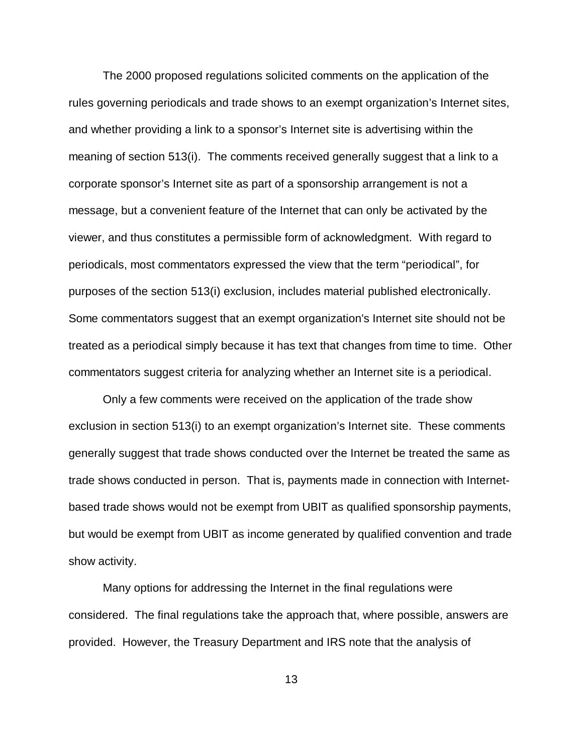The 2000 proposed regulations solicited comments on the application of the rules governing periodicals and trade shows to an exempt organization's Internet sites, and whether providing a link to a sponsor's Internet site is advertising within the meaning of section 513(i). The comments received generally suggest that a link to a corporate sponsor's Internet site as part of a sponsorship arrangement is not a message, but a convenient feature of the Internet that can only be activated by the viewer, and thus constitutes a permissible form of acknowledgment. With regard to periodicals, most commentators expressed the view that the term "periodical", for purposes of the section 513(i) exclusion, includes material published electronically. Some commentators suggest that an exempt organization's Internet site should not be treated as a periodical simply because it has text that changes from time to time. Other commentators suggest criteria for analyzing whether an Internet site is a periodical.

Only a few comments were received on the application of the trade show exclusion in section 513(i) to an exempt organization's Internet site. These comments generally suggest that trade shows conducted over the Internet be treated the same as trade shows conducted in person. That is, payments made in connection with Internetbased trade shows would not be exempt from UBIT as qualified sponsorship payments, but would be exempt from UBIT as income generated by qualified convention and trade show activity.

Many options for addressing the Internet in the final regulations were considered. The final regulations take the approach that, where possible, answers are provided. However, the Treasury Department and IRS note that the analysis of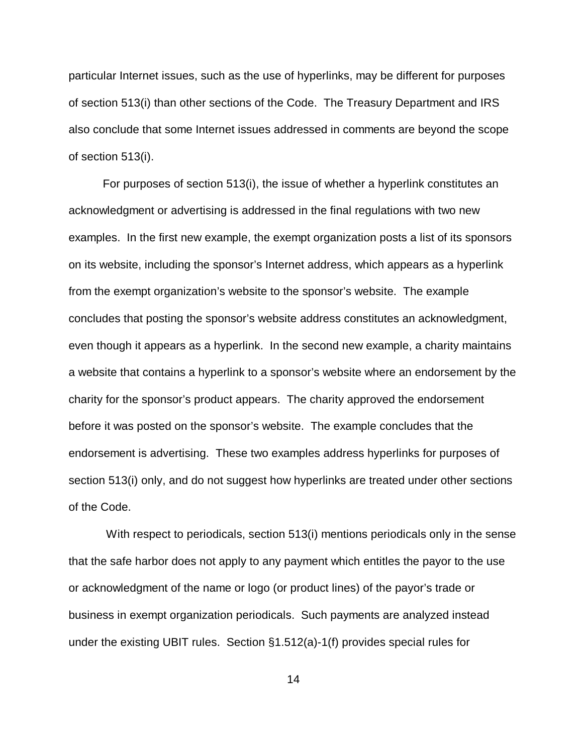particular Internet issues, such as the use of hyperlinks, may be different for purposes of section 513(i) than other sections of the Code. The Treasury Department and IRS also conclude that some Internet issues addressed in comments are beyond the scope of section 513(i).

For purposes of section 513(i), the issue of whether a hyperlink constitutes an acknowledgment or advertising is addressed in the final regulations with two new examples. In the first new example, the exempt organization posts a list of its sponsors on its website, including the sponsor's Internet address, which appears as a hyperlink from the exempt organization's website to the sponsor's website. The example concludes that posting the sponsor's website address constitutes an acknowledgment, even though it appears as a hyperlink. In the second new example, a charity maintains a website that contains a hyperlink to a sponsor's website where an endorsement by the charity for the sponsor's product appears. The charity approved the endorsement before it was posted on the sponsor's website. The example concludes that the endorsement is advertising. These two examples address hyperlinks for purposes of section 513(i) only, and do not suggest how hyperlinks are treated under other sections of the Code.

With respect to periodicals, section 513(i) mentions periodicals only in the sense that the safe harbor does not apply to any payment which entitles the payor to the use or acknowledgment of the name or logo (or product lines) of the payor's trade or business in exempt organization periodicals. Such payments are analyzed instead under the existing UBIT rules. Section §1.512(a)-1(f) provides special rules for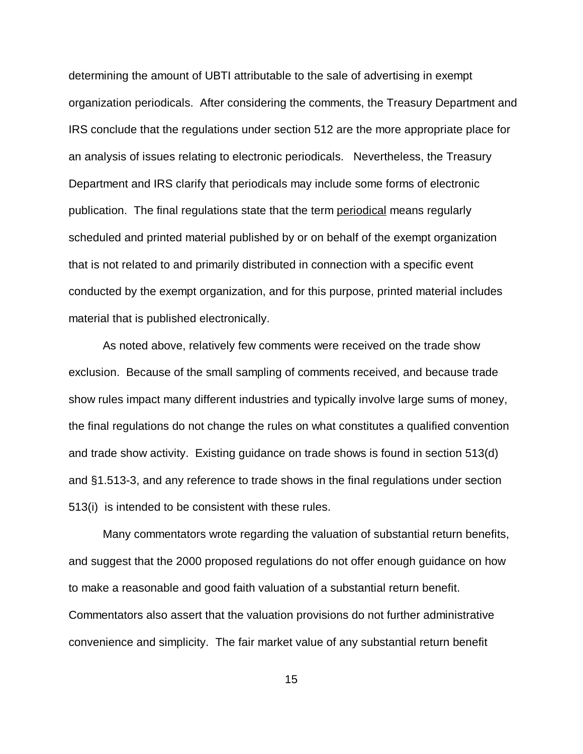determining the amount of UBTI attributable to the sale of advertising in exempt organization periodicals. After considering the comments, the Treasury Department and IRS conclude that the regulations under section 512 are the more appropriate place for an analysis of issues relating to electronic periodicals. Nevertheless, the Treasury Department and IRS clarify that periodicals may include some forms of electronic publication. The final regulations state that the term periodical means regularly scheduled and printed material published by or on behalf of the exempt organization that is not related to and primarily distributed in connection with a specific event conducted by the exempt organization, and for this purpose, printed material includes material that is published electronically.

As noted above, relatively few comments were received on the trade show exclusion. Because of the small sampling of comments received, and because trade show rules impact many different industries and typically involve large sums of money, the final regulations do not change the rules on what constitutes a qualified convention and trade show activity. Existing guidance on trade shows is found in section 513(d) and §1.513-3, and any reference to trade shows in the final regulations under section 513(i) is intended to be consistent with these rules.

Many commentators wrote regarding the valuation of substantial return benefits, and suggest that the 2000 proposed regulations do not offer enough guidance on how to make a reasonable and good faith valuation of a substantial return benefit. Commentators also assert that the valuation provisions do not further administrative convenience and simplicity. The fair market value of any substantial return benefit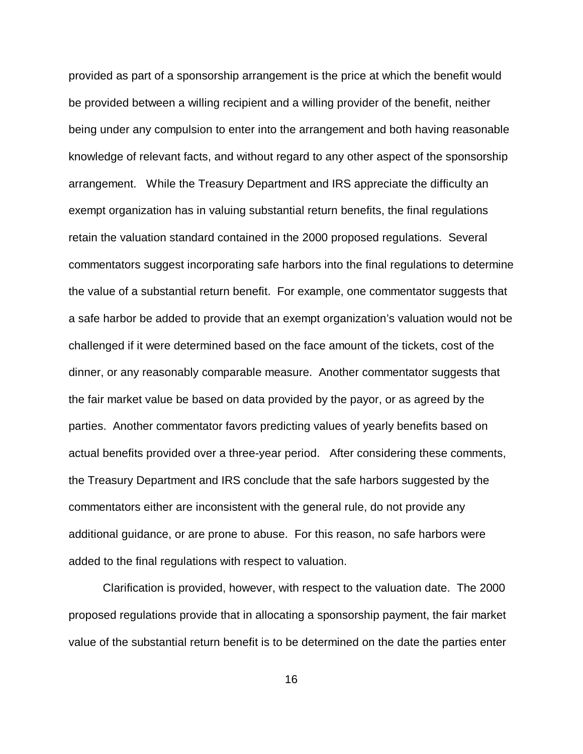provided as part of a sponsorship arrangement is the price at which the benefit would be provided between a willing recipient and a willing provider of the benefit, neither being under any compulsion to enter into the arrangement and both having reasonable knowledge of relevant facts, and without regard to any other aspect of the sponsorship arrangement. While the Treasury Department and IRS appreciate the difficulty an exempt organization has in valuing substantial return benefits, the final regulations retain the valuation standard contained in the 2000 proposed regulations. Several commentators suggest incorporating safe harbors into the final regulations to determine the value of a substantial return benefit. For example, one commentator suggests that a safe harbor be added to provide that an exempt organization's valuation would not be challenged if it were determined based on the face amount of the tickets, cost of the dinner, or any reasonably comparable measure. Another commentator suggests that the fair market value be based on data provided by the payor, or as agreed by the parties. Another commentator favors predicting values of yearly benefits based on actual benefits provided over a three-year period. After considering these comments, the Treasury Department and IRS conclude that the safe harbors suggested by the commentators either are inconsistent with the general rule, do not provide any additional guidance, or are prone to abuse. For this reason, no safe harbors were added to the final regulations with respect to valuation.

Clarification is provided, however, with respect to the valuation date. The 2000 proposed regulations provide that in allocating a sponsorship payment, the fair market value of the substantial return benefit is to be determined on the date the parties enter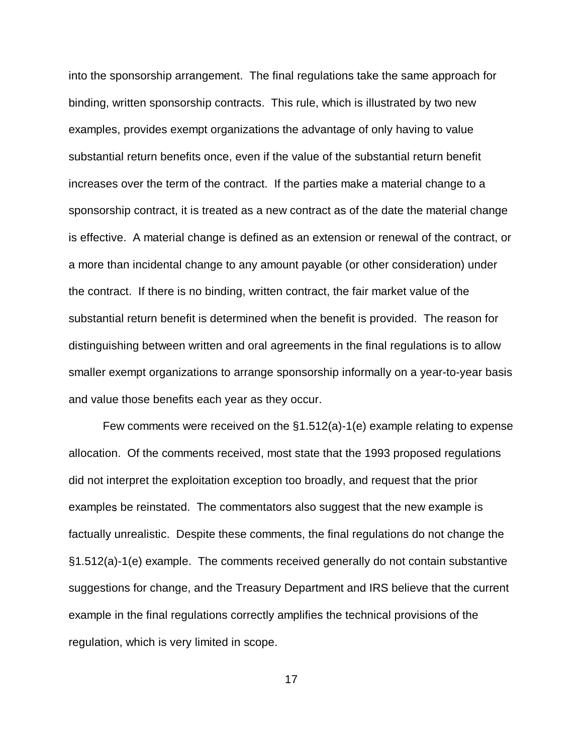into the sponsorship arrangement. The final regulations take the same approach for binding, written sponsorship contracts. This rule, which is illustrated by two new examples, provides exempt organizations the advantage of only having to value substantial return benefits once, even if the value of the substantial return benefit increases over the term of the contract. If the parties make a material change to a sponsorship contract, it is treated as a new contract as of the date the material change is effective. A material change is defined as an extension or renewal of the contract, or a more than incidental change to any amount payable (or other consideration) under the contract. If there is no binding, written contract, the fair market value of the substantial return benefit is determined when the benefit is provided. The reason for distinguishing between written and oral agreements in the final regulations is to allow smaller exempt organizations to arrange sponsorship informally on a year-to-year basis and value those benefits each year as they occur.

Few comments were received on the §1.512(a)-1(e) example relating to expense allocation. Of the comments received, most state that the 1993 proposed regulations did not interpret the exploitation exception too broadly, and request that the prior examples be reinstated. The commentators also suggest that the new example is factually unrealistic. Despite these comments, the final regulations do not change the §1.512(a)-1(e) example. The comments received generally do not contain substantive suggestions for change, and the Treasury Department and IRS believe that the current example in the final regulations correctly amplifies the technical provisions of the regulation, which is very limited in scope.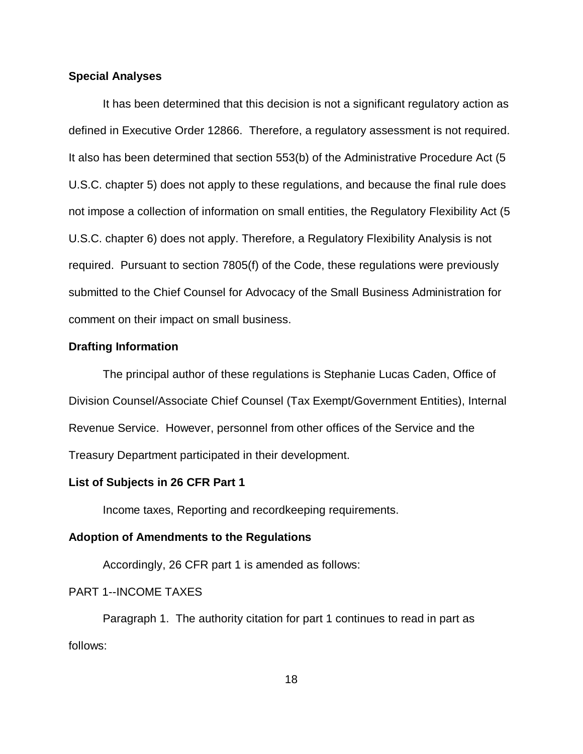## **Special Analyses**

It has been determined that this decision is not a significant regulatory action as defined in Executive Order 12866. Therefore, a regulatory assessment is not required. It also has been determined that section 553(b) of the Administrative Procedure Act (5 U.S.C. chapter 5) does not apply to these regulations, and because the final rule does not impose a collection of information on small entities, the Regulatory Flexibility Act (5 U.S.C. chapter 6) does not apply. Therefore, a Regulatory Flexibility Analysis is not required. Pursuant to section 7805(f) of the Code, these regulations were previously submitted to the Chief Counsel for Advocacy of the Small Business Administration for comment on their impact on small business.

## **Drafting Information**

The principal author of these regulations is Stephanie Lucas Caden, Office of Division Counsel/Associate Chief Counsel (Tax Exempt/Government Entities), Internal Revenue Service. However, personnel from other offices of the Service and the Treasury Department participated in their development.

## **List of Subjects in 26 CFR Part 1**

Income taxes, Reporting and recordkeeping requirements.

## **Adoption of Amendments to the Regulations**

Accordingly, 26 CFR part 1 is amended as follows:

# PART 1--INCOME TAXES

Paragraph 1. The authority citation for part 1 continues to read in part as follows: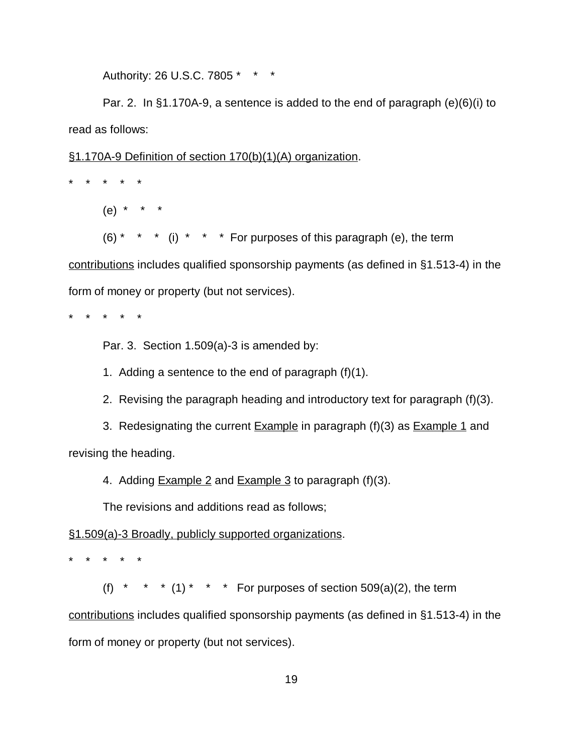Authority: 26 U.S.C. 7805 \* \* \*

Par. 2. In §1.170A-9, a sentence is added to the end of paragraph (e)(6)(i) to read as follows:

§1.170A-9 Definition of section 170(b)(1)(A) organization.

\* \* \* \* \*

(e) \* \* \*

 $(6)$ <sup>\*</sup> \* \* (i) \* \* \* For purposes of this paragraph (e), the term

contributions includes qualified sponsorship payments (as defined in §1.513-4) in the form of money or property (but not services).

\* \* \* \* \*

Par. 3. Section 1.509(a)-3 is amended by:

1. Adding a sentence to the end of paragraph (f)(1).

2. Revising the paragraph heading and introductory text for paragraph (f)(3).

3. Redesignating the current  $Example$  in paragraph (f)(3) as  $Example 1$  and revising the heading.

4. Adding **Example 2** and **Example 3** to paragraph (f)(3).

The revisions and additions read as follows;

§1.509(a)-3 Broadly, publicly supported organizations.

\* \* \* \* \*

(f) \* \* \* (1) \* \* \* For purposes of section  $509(a)(2)$ , the term

contributions includes qualified sponsorship payments (as defined in §1.513-4) in the form of money or property (but not services).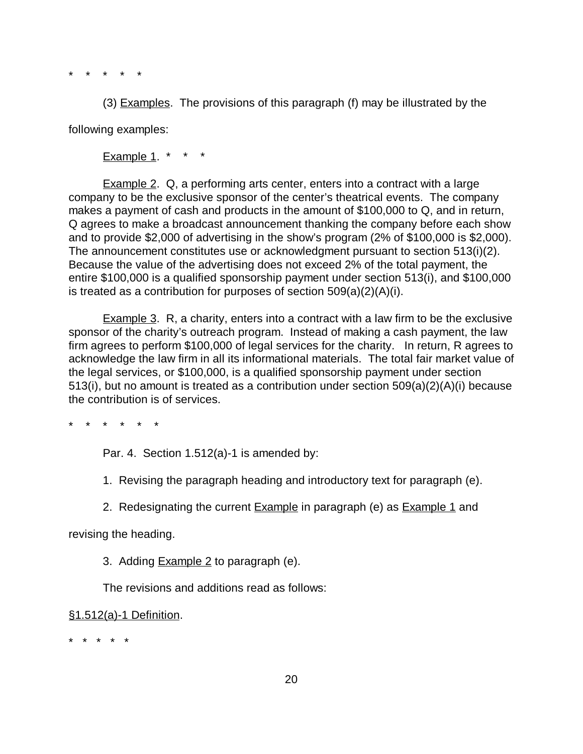\* \* \* \* \*

(3) Examples. The provisions of this paragraph (f) may be illustrated by the following examples:

**Example 1.** \* \* \*

Example 2. Q, a performing arts center, enters into a contract with a large company to be the exclusive sponsor of the center's theatrical events. The company makes a payment of cash and products in the amount of \$100,000 to Q, and in return, Q agrees to make a broadcast announcement thanking the company before each show and to provide \$2,000 of advertising in the show's program (2% of \$100,000 is \$2,000). The announcement constitutes use or acknowledgment pursuant to section 513(i)(2). Because the value of the advertising does not exceed 2% of the total payment, the entire \$100,000 is a qualified sponsorship payment under section 513(i), and \$100,000 is treated as a contribution for purposes of section 509(a)(2)(A)(i).

Example 3. R, a charity, enters into a contract with a law firm to be the exclusive sponsor of the charity's outreach program. Instead of making a cash payment, the law firm agrees to perform \$100,000 of legal services for the charity. In return, R agrees to acknowledge the law firm in all its informational materials. The total fair market value of the legal services, or \$100,000, is a qualified sponsorship payment under section 513(i), but no amount is treated as a contribution under section 509(a)(2)(A)(i) because the contribution is of services.

\* \* \* \* \* \*

Par. 4. Section 1.512(a)-1 is amended by:

1. Revising the paragraph heading and introductory text for paragraph (e).

2. Redesignating the current **Example** in paragraph (e) as **Example 1** and

revising the heading.

3. Adding Example 2 to paragraph (e).

The revisions and additions read as follows:

§1.512(a)-1 Definition.

\* \* \* \* \*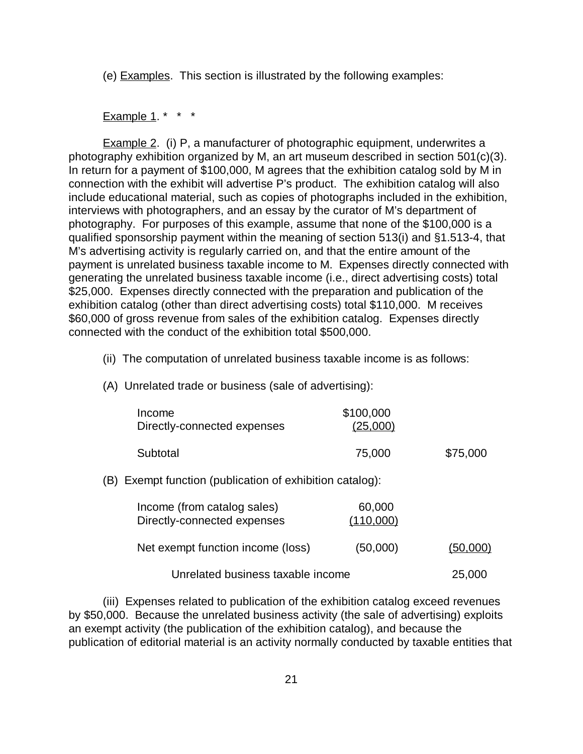(e) Examples. This section is illustrated by the following examples:

Example 1.  $* * * *$ 

**Example 2.** (i) P, a manufacturer of photographic equipment, underwrites a photography exhibition organized by M, an art museum described in section 501(c)(3). In return for a payment of \$100,000, M agrees that the exhibition catalog sold by M in connection with the exhibit will advertise P's product. The exhibition catalog will also include educational material, such as copies of photographs included in the exhibition, interviews with photographers, and an essay by the curator of M's department of photography. For purposes of this example, assume that none of the \$100,000 is a qualified sponsorship payment within the meaning of section 513(i) and §1.513-4, that M's advertising activity is regularly carried on, and that the entire amount of the payment is unrelated business taxable income to M. Expenses directly connected with generating the unrelated business taxable income (i.e., direct advertising costs) total \$25,000. Expenses directly connected with the preparation and publication of the exhibition catalog (other than direct advertising costs) total \$110,000. M receives \$60,000 of gross revenue from sales of the exhibition catalog. Expenses directly connected with the conduct of the exhibition total \$500,000.

- (ii) The computation of unrelated business taxable income is as follows:
- (A) Unrelated trade or business (sale of advertising):

| Income                      | \$100,000 |          |
|-----------------------------|-----------|----------|
| Directly-connected expenses | (25,000)  |          |
| Subtotal                    | 75,000    | \$75,000 |

## (B) Exempt function (publication of exhibition catalog):

| Income (from catalog sales)<br>Directly-connected expenses | 60,000<br>(110,000) |          |
|------------------------------------------------------------|---------------------|----------|
| Net exempt function income (loss)                          | (50,000)            | (50,000) |
| Unrelated business taxable income                          |                     | 25,000   |

(iii) Expenses related to publication of the exhibition catalog exceed revenues by \$50,000. Because the unrelated business activity (the sale of advertising) exploits an exempt activity (the publication of the exhibition catalog), and because the publication of editorial material is an activity normally conducted by taxable entities that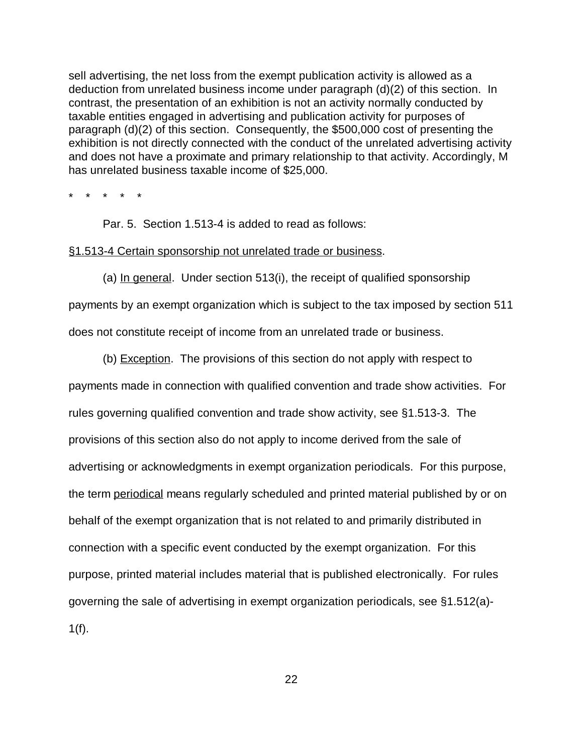sell advertising, the net loss from the exempt publication activity is allowed as a deduction from unrelated business income under paragraph (d)(2) of this section. In contrast, the presentation of an exhibition is not an activity normally conducted by taxable entities engaged in advertising and publication activity for purposes of paragraph (d)(2) of this section. Consequently, the \$500,000 cost of presenting the exhibition is not directly connected with the conduct of the unrelated advertising activity and does not have a proximate and primary relationship to that activity. Accordingly, M has unrelated business taxable income of \$25,000.

\* \* \* \* \*

Par. 5. Section 1.513-4 is added to read as follows:

#### §1.513-4 Certain sponsorship not unrelated trade or business.

(a) In general. Under section 513(i), the receipt of qualified sponsorship payments by an exempt organization which is subject to the tax imposed by section 511 does not constitute receipt of income from an unrelated trade or business.

(b) Exception. The provisions of this section do not apply with respect to payments made in connection with qualified convention and trade show activities. For rules governing qualified convention and trade show activity, see §1.513-3. The provisions of this section also do not apply to income derived from the sale of advertising or acknowledgments in exempt organization periodicals. For this purpose, the term periodical means regularly scheduled and printed material published by or on behalf of the exempt organization that is not related to and primarily distributed in connection with a specific event conducted by the exempt organization. For this purpose, printed material includes material that is published electronically. For rules governing the sale of advertising in exempt organization periodicals, see §1.512(a)-  $1(f)$ .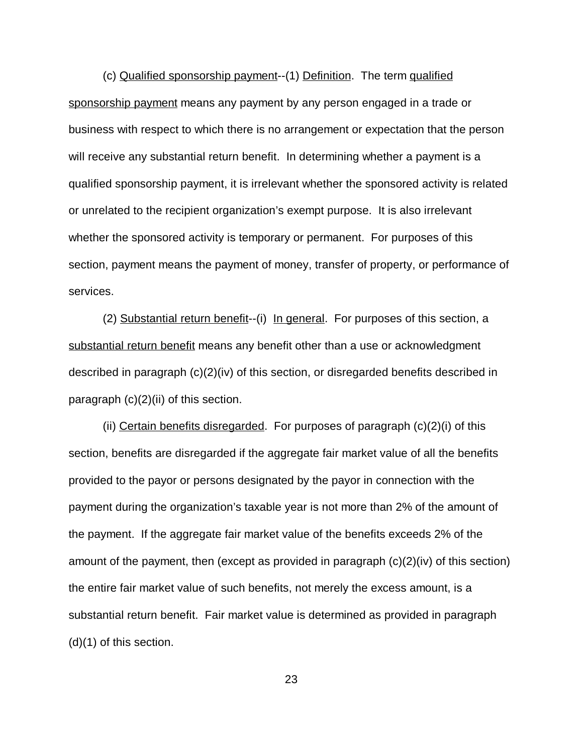(c) Qualified sponsorship payment--(1) Definition. The term qualified sponsorship payment means any payment by any person engaged in a trade or business with respect to which there is no arrangement or expectation that the person will receive any substantial return benefit. In determining whether a payment is a qualified sponsorship payment, it is irrelevant whether the sponsored activity is related or unrelated to the recipient organization's exempt purpose. It is also irrelevant whether the sponsored activity is temporary or permanent. For purposes of this section, payment means the payment of money, transfer of property, or performance of services.

(2) Substantial return benefit--(i) In general. For purposes of this section, a substantial return benefit means any benefit other than a use or acknowledgment described in paragraph (c)(2)(iv) of this section, or disregarded benefits described in paragraph (c)(2)(ii) of this section.

(ii) Certain benefits disregarded. For purposes of paragraph  $(c)(2)(i)$  of this section, benefits are disregarded if the aggregate fair market value of all the benefits provided to the payor or persons designated by the payor in connection with the payment during the organization's taxable year is not more than 2% of the amount of the payment. If the aggregate fair market value of the benefits exceeds 2% of the amount of the payment, then (except as provided in paragraph (c)(2)(iv) of this section) the entire fair market value of such benefits, not merely the excess amount, is a substantial return benefit. Fair market value is determined as provided in paragraph (d)(1) of this section.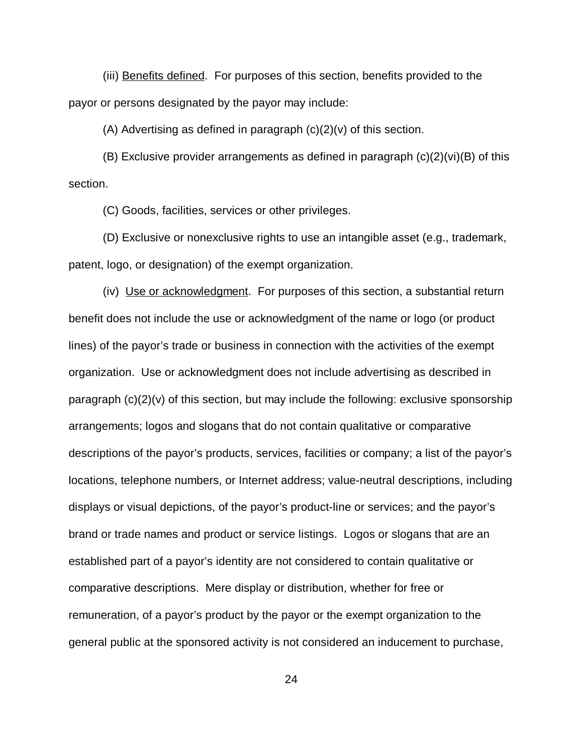(iii) Benefits defined. For purposes of this section, benefits provided to the payor or persons designated by the payor may include:

(A) Advertising as defined in paragraph  $(c)(2)(v)$  of this section.

(B) Exclusive provider arrangements as defined in paragraph (c)(2)(vi)(B) of this section.

(C) Goods, facilities, services or other privileges.

(D) Exclusive or nonexclusive rights to use an intangible asset (e.g., trademark, patent, logo, or designation) of the exempt organization.

(iv) Use or acknowledgment. For purposes of this section, a substantial return benefit does not include the use or acknowledgment of the name or logo (or product lines) of the payor's trade or business in connection with the activities of the exempt organization. Use or acknowledgment does not include advertising as described in paragraph  $(c)(2)(v)$  of this section, but may include the following: exclusive sponsorship arrangements; logos and slogans that do not contain qualitative or comparative descriptions of the payor's products, services, facilities or company; a list of the payor's locations, telephone numbers, or Internet address; value-neutral descriptions, including displays or visual depictions, of the payor's product-line or services; and the payor's brand or trade names and product or service listings. Logos or slogans that are an established part of a payor's identity are not considered to contain qualitative or comparative descriptions. Mere display or distribution, whether for free or remuneration, of a payor's product by the payor or the exempt organization to the general public at the sponsored activity is not considered an inducement to purchase,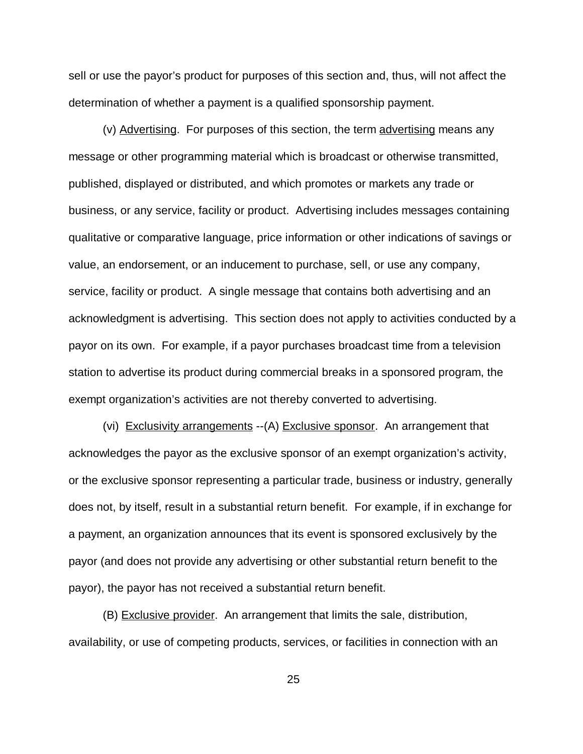sell or use the payor's product for purposes of this section and, thus, will not affect the determination of whether a payment is a qualified sponsorship payment.

(v) Advertising. For purposes of this section, the term advertising means any message or other programming material which is broadcast or otherwise transmitted, published, displayed or distributed, and which promotes or markets any trade or business, or any service, facility or product. Advertising includes messages containing qualitative or comparative language, price information or other indications of savings or value, an endorsement, or an inducement to purchase, sell, or use any company, service, facility or product. A single message that contains both advertising and an acknowledgment is advertising. This section does not apply to activities conducted by a payor on its own. For example, if a payor purchases broadcast time from a television station to advertise its product during commercial breaks in a sponsored program, the exempt organization's activities are not thereby converted to advertising.

(vi) Exclusivity arrangements -- (A) Exclusive sponsor. An arrangement that acknowledges the payor as the exclusive sponsor of an exempt organization's activity, or the exclusive sponsor representing a particular trade, business or industry, generally does not, by itself, result in a substantial return benefit. For example, if in exchange for a payment, an organization announces that its event is sponsored exclusively by the payor (and does not provide any advertising or other substantial return benefit to the payor), the payor has not received a substantial return benefit.

(B) Exclusive provider. An arrangement that limits the sale, distribution, availability, or use of competing products, services, or facilities in connection with an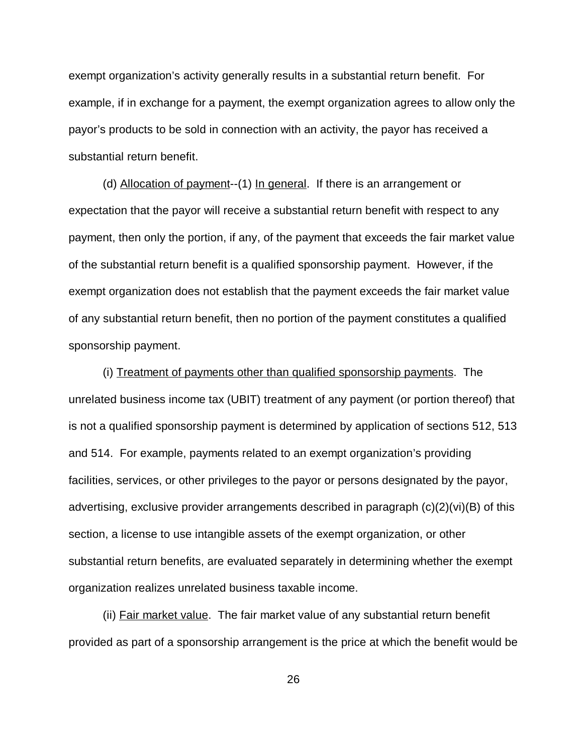exempt organization's activity generally results in a substantial return benefit. For example, if in exchange for a payment, the exempt organization agrees to allow only the payor's products to be sold in connection with an activity, the payor has received a substantial return benefit.

(d) Allocation of payment--(1) In general. If there is an arrangement or expectation that the payor will receive a substantial return benefit with respect to any payment, then only the portion, if any, of the payment that exceeds the fair market value of the substantial return benefit is a qualified sponsorship payment. However, if the exempt organization does not establish that the payment exceeds the fair market value of any substantial return benefit, then no portion of the payment constitutes a qualified sponsorship payment.

(i) Treatment of payments other than qualified sponsorship payments. The unrelated business income tax (UBIT) treatment of any payment (or portion thereof) that is not a qualified sponsorship payment is determined by application of sections 512, 513 and 514. For example, payments related to an exempt organization's providing facilities, services, or other privileges to the payor or persons designated by the payor, advertising, exclusive provider arrangements described in paragraph (c)(2)(vi)(B) of this section, a license to use intangible assets of the exempt organization, or other substantial return benefits, are evaluated separately in determining whether the exempt organization realizes unrelated business taxable income.

(ii) Fair market value. The fair market value of any substantial return benefit provided as part of a sponsorship arrangement is the price at which the benefit would be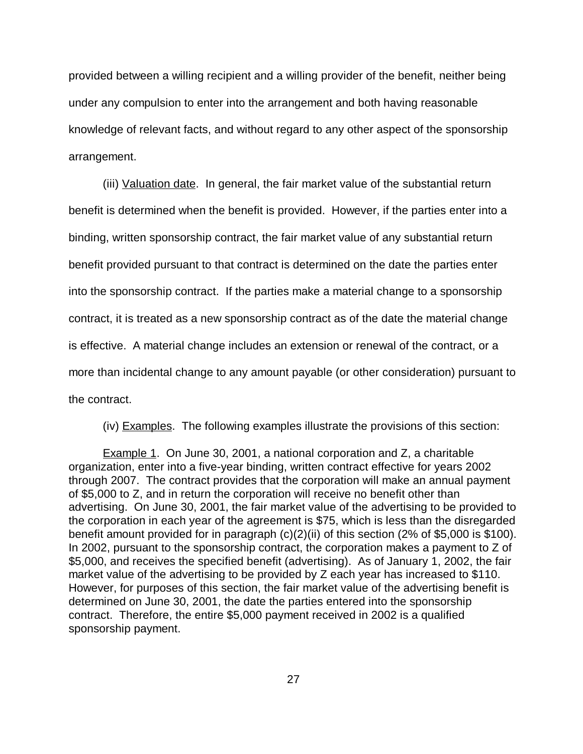provided between a willing recipient and a willing provider of the benefit, neither being under any compulsion to enter into the arrangement and both having reasonable knowledge of relevant facts, and without regard to any other aspect of the sponsorship arrangement.

(iii) Valuation date. In general, the fair market value of the substantial return benefit is determined when the benefit is provided. However, if the parties enter into a binding, written sponsorship contract, the fair market value of any substantial return benefit provided pursuant to that contract is determined on the date the parties enter into the sponsorship contract. If the parties make a material change to a sponsorship contract, it is treated as a new sponsorship contract as of the date the material change is effective. A material change includes an extension or renewal of the contract, or a more than incidental change to any amount payable (or other consideration) pursuant to the contract.

(iv) Examples. The following examples illustrate the provisions of this section:

Example 1. On June 30, 2001, a national corporation and Z, a charitable organization, enter into a five-year binding, written contract effective for years 2002 through 2007. The contract provides that the corporation will make an annual payment of \$5,000 to Z, and in return the corporation will receive no benefit other than advertising. On June 30, 2001, the fair market value of the advertising to be provided to the corporation in each year of the agreement is \$75, which is less than the disregarded benefit amount provided for in paragraph (c)(2)(ii) of this section (2% of \$5,000 is \$100). In 2002, pursuant to the sponsorship contract, the corporation makes a payment to Z of \$5,000, and receives the specified benefit (advertising). As of January 1, 2002, the fair market value of the advertising to be provided by Z each year has increased to \$110. However, for purposes of this section, the fair market value of the advertising benefit is determined on June 30, 2001, the date the parties entered into the sponsorship contract. Therefore, the entire \$5,000 payment received in 2002 is a qualified sponsorship payment.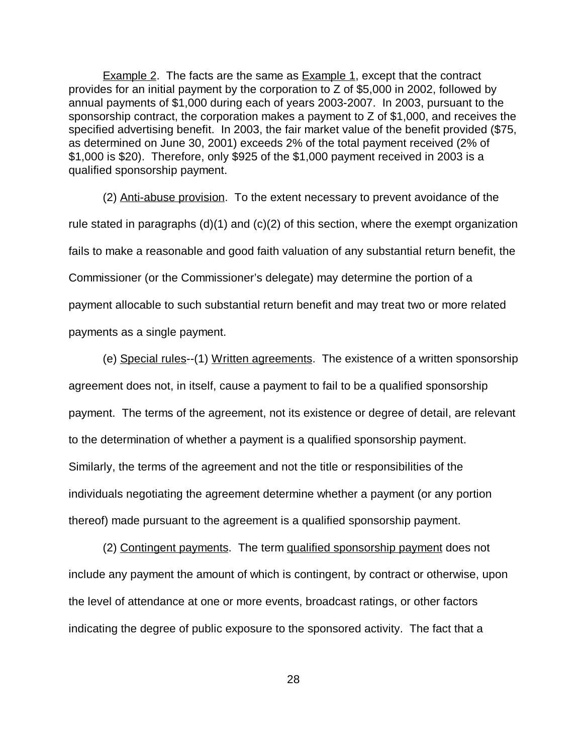**Example 2.** The facts are the same as **Example 1**, except that the contract provides for an initial payment by the corporation to Z of \$5,000 in 2002, followed by annual payments of \$1,000 during each of years 2003-2007. In 2003, pursuant to the sponsorship contract, the corporation makes a payment to Z of \$1,000, and receives the specified advertising benefit. In 2003, the fair market value of the benefit provided (\$75, as determined on June 30, 2001) exceeds 2% of the total payment received (2% of \$1,000 is \$20). Therefore, only \$925 of the \$1,000 payment received in 2003 is a qualified sponsorship payment.

(2) Anti-abuse provision. To the extent necessary to prevent avoidance of the rule stated in paragraphs  $(d)(1)$  and  $(c)(2)$  of this section, where the exempt organization fails to make a reasonable and good faith valuation of any substantial return benefit, the Commissioner (or the Commissioner's delegate) may determine the portion of a payment allocable to such substantial return benefit and may treat two or more related payments as a single payment.

 (e) Special rules--(1) Written agreements. The existence of a written sponsorship agreement does not, in itself, cause a payment to fail to be a qualified sponsorship payment. The terms of the agreement, not its existence or degree of detail, are relevant to the determination of whether a payment is a qualified sponsorship payment. Similarly, the terms of the agreement and not the title or responsibilities of the individuals negotiating the agreement determine whether a payment (or any portion thereof) made pursuant to the agreement is a qualified sponsorship payment.

(2) Contingent payments. The term qualified sponsorship payment does not include any payment the amount of which is contingent, by contract or otherwise, upon the level of attendance at one or more events, broadcast ratings, or other factors indicating the degree of public exposure to the sponsored activity. The fact that a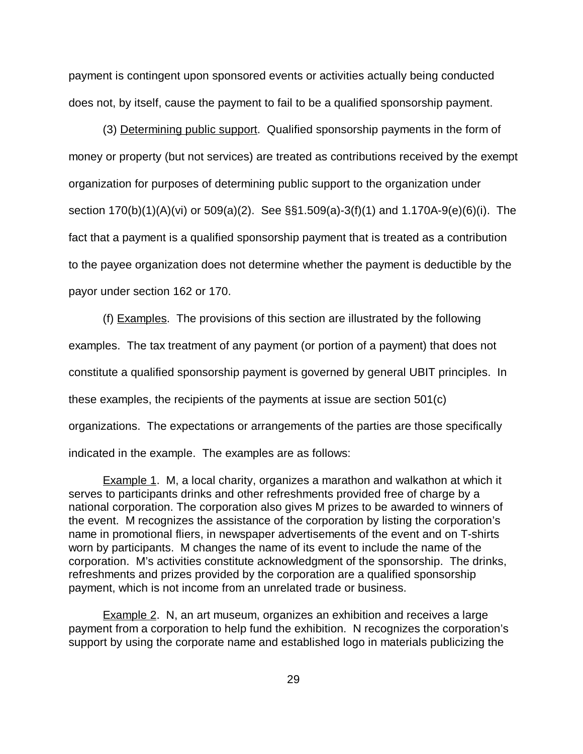payment is contingent upon sponsored events or activities actually being conducted does not, by itself, cause the payment to fail to be a qualified sponsorship payment.

(3) Determining public support. Qualified sponsorship payments in the form of money or property (but not services) are treated as contributions received by the exempt organization for purposes of determining public support to the organization under section 170(b)(1)(A)(vi) or 509(a)(2). See §§1.509(a)-3(f)(1) and 1.170A-9(e)(6)(i). The fact that a payment is a qualified sponsorship payment that is treated as a contribution to the payee organization does not determine whether the payment is deductible by the payor under section 162 or 170.

(f) Examples. The provisions of this section are illustrated by the following examples. The tax treatment of any payment (or portion of a payment) that does not constitute a qualified sponsorship payment is governed by general UBIT principles. In these examples, the recipients of the payments at issue are section 501(c) organizations. The expectations or arrangements of the parties are those specifically indicated in the example. The examples are as follows:

**Example 1.** M, a local charity, organizes a marathon and walkathon at which it serves to participants drinks and other refreshments provided free of charge by a national corporation. The corporation also gives M prizes to be awarded to winners of the event. M recognizes the assistance of the corporation by listing the corporation's name in promotional fliers, in newspaper advertisements of the event and on T-shirts worn by participants. M changes the name of its event to include the name of the corporation. M's activities constitute acknowledgment of the sponsorship. The drinks, refreshments and prizes provided by the corporation are a qualified sponsorship payment, which is not income from an unrelated trade or business.

Example 2. N, an art museum, organizes an exhibition and receives a large payment from a corporation to help fund the exhibition. N recognizes the corporation's support by using the corporate name and established logo in materials publicizing the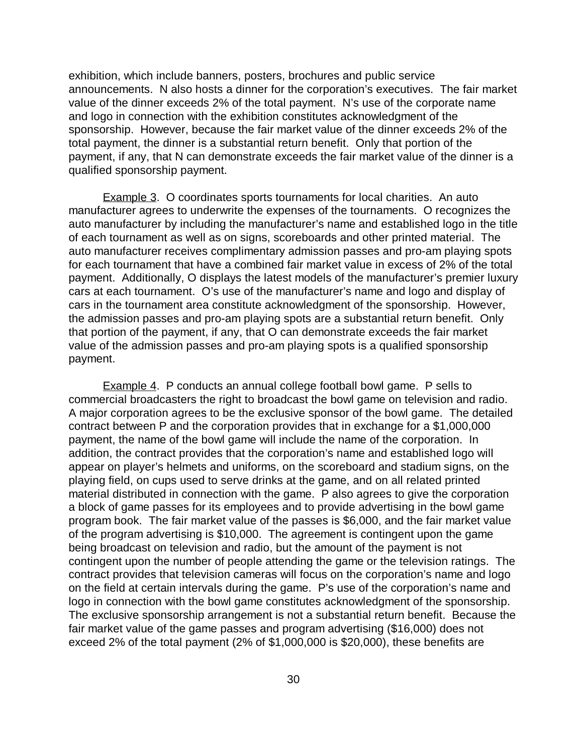exhibition, which include banners, posters, brochures and public service announcements. N also hosts a dinner for the corporation's executives. The fair market value of the dinner exceeds 2% of the total payment. N's use of the corporate name and logo in connection with the exhibition constitutes acknowledgment of the sponsorship. However, because the fair market value of the dinner exceeds 2% of the total payment, the dinner is a substantial return benefit. Only that portion of the payment, if any, that N can demonstrate exceeds the fair market value of the dinner is a qualified sponsorship payment.

Example 3. O coordinates sports tournaments for local charities. An auto manufacturer agrees to underwrite the expenses of the tournaments. O recognizes the auto manufacturer by including the manufacturer's name and established logo in the title of each tournament as well as on signs, scoreboards and other printed material. The auto manufacturer receives complimentary admission passes and pro-am playing spots for each tournament that have a combined fair market value in excess of 2% of the total payment. Additionally, O displays the latest models of the manufacturer's premier luxury cars at each tournament. O's use of the manufacturer's name and logo and display of cars in the tournament area constitute acknowledgment of the sponsorship. However, the admission passes and pro-am playing spots are a substantial return benefit. Only that portion of the payment, if any, that O can demonstrate exceeds the fair market value of the admission passes and pro-am playing spots is a qualified sponsorship payment.

Example 4. P conducts an annual college football bowl game. P sells to commercial broadcasters the right to broadcast the bowl game on television and radio. A major corporation agrees to be the exclusive sponsor of the bowl game. The detailed contract between P and the corporation provides that in exchange for a \$1,000,000 payment, the name of the bowl game will include the name of the corporation. In addition, the contract provides that the corporation's name and established logo will appear on player's helmets and uniforms, on the scoreboard and stadium signs, on the playing field, on cups used to serve drinks at the game, and on all related printed material distributed in connection with the game. P also agrees to give the corporation a block of game passes for its employees and to provide advertising in the bowl game program book. The fair market value of the passes is \$6,000, and the fair market value of the program advertising is \$10,000. The agreement is contingent upon the game being broadcast on television and radio, but the amount of the payment is not contingent upon the number of people attending the game or the television ratings. The contract provides that television cameras will focus on the corporation's name and logo on the field at certain intervals during the game. P's use of the corporation's name and logo in connection with the bowl game constitutes acknowledgment of the sponsorship. The exclusive sponsorship arrangement is not a substantial return benefit. Because the fair market value of the game passes and program advertising (\$16,000) does not exceed 2% of the total payment (2% of \$1,000,000 is \$20,000), these benefits are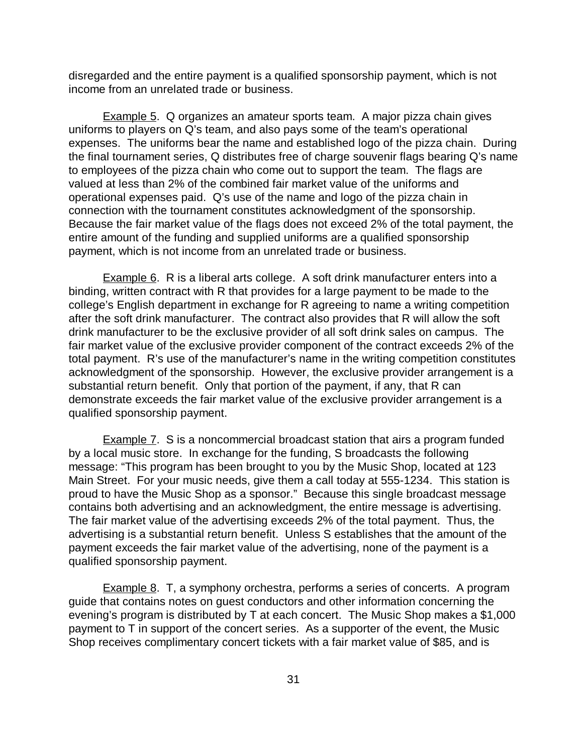disregarded and the entire payment is a qualified sponsorship payment, which is not income from an unrelated trade or business.

Example 5. Q organizes an amateur sports team. A major pizza chain gives uniforms to players on Q's team, and also pays some of the team's operational expenses. The uniforms bear the name and established logo of the pizza chain. During the final tournament series, Q distributes free of charge souvenir flags bearing Q's name to employees of the pizza chain who come out to support the team. The flags are valued at less than 2% of the combined fair market value of the uniforms and operational expenses paid. Q's use of the name and logo of the pizza chain in connection with the tournament constitutes acknowledgment of the sponsorship. Because the fair market value of the flags does not exceed 2% of the total payment, the entire amount of the funding and supplied uniforms are a qualified sponsorship payment, which is not income from an unrelated trade or business.

Example 6. R is a liberal arts college. A soft drink manufacturer enters into a binding, written contract with R that provides for a large payment to be made to the college's English department in exchange for R agreeing to name a writing competition after the soft drink manufacturer. The contract also provides that R will allow the soft drink manufacturer to be the exclusive provider of all soft drink sales on campus. The fair market value of the exclusive provider component of the contract exceeds 2% of the total payment. R's use of the manufacturer's name in the writing competition constitutes acknowledgment of the sponsorship. However, the exclusive provider arrangement is a substantial return benefit. Only that portion of the payment, if any, that R can demonstrate exceeds the fair market value of the exclusive provider arrangement is a qualified sponsorship payment.

**Example 7.** S is a noncommercial broadcast station that airs a program funded by a local music store. In exchange for the funding, S broadcasts the following message: "This program has been brought to you by the Music Shop, located at 123 Main Street. For your music needs, give them a call today at 555-1234. This station is proud to have the Music Shop as a sponsor." Because this single broadcast message contains both advertising and an acknowledgment, the entire message is advertising. The fair market value of the advertising exceeds 2% of the total payment. Thus, the advertising is a substantial return benefit. Unless S establishes that the amount of the payment exceeds the fair market value of the advertising, none of the payment is a qualified sponsorship payment.

**Example 8.** T, a symphony orchestra, performs a series of concerts. A program guide that contains notes on guest conductors and other information concerning the evening's program is distributed by T at each concert. The Music Shop makes a \$1,000 payment to T in support of the concert series. As a supporter of the event, the Music Shop receives complimentary concert tickets with a fair market value of \$85, and is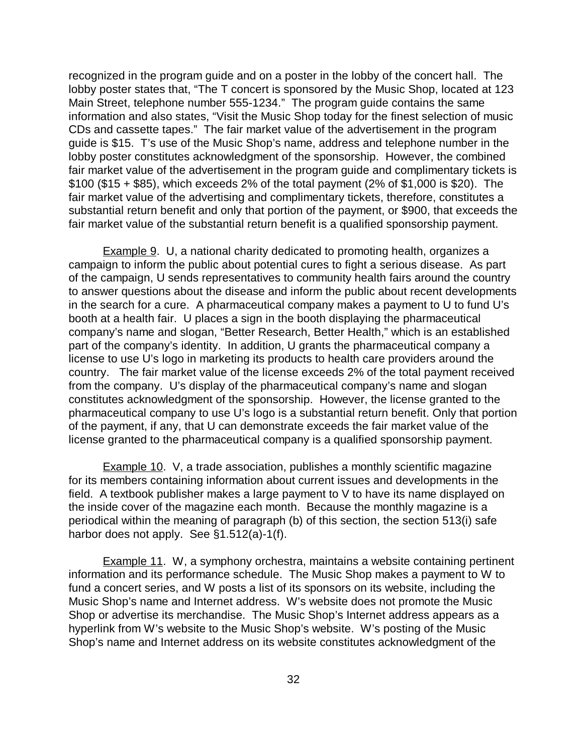recognized in the program guide and on a poster in the lobby of the concert hall. The lobby poster states that, "The T concert is sponsored by the Music Shop, located at 123 Main Street, telephone number 555-1234." The program guide contains the same information and also states, "Visit the Music Shop today for the finest selection of music CDs and cassette tapes." The fair market value of the advertisement in the program guide is \$15. T's use of the Music Shop's name, address and telephone number in the lobby poster constitutes acknowledgment of the sponsorship. However, the combined fair market value of the advertisement in the program guide and complimentary tickets is \$100 (\$15 + \$85), which exceeds 2% of the total payment (2% of \$1,000 is \$20). The fair market value of the advertising and complimentary tickets, therefore, constitutes a substantial return benefit and only that portion of the payment, or \$900, that exceeds the fair market value of the substantial return benefit is a qualified sponsorship payment.

**Example 9.** U, a national charity dedicated to promoting health, organizes a campaign to inform the public about potential cures to fight a serious disease. As part of the campaign, U sends representatives to community health fairs around the country to answer questions about the disease and inform the public about recent developments in the search for a cure. A pharmaceutical company makes a payment to U to fund U's booth at a health fair. U places a sign in the booth displaying the pharmaceutical company's name and slogan, "Better Research, Better Health," which is an established part of the company's identity. In addition, U grants the pharmaceutical company a license to use U's logo in marketing its products to health care providers around the country. The fair market value of the license exceeds 2% of the total payment received from the company. U's display of the pharmaceutical company's name and slogan constitutes acknowledgment of the sponsorship. However, the license granted to the pharmaceutical company to use U's logo is a substantial return benefit. Only that portion of the payment, if any, that U can demonstrate exceeds the fair market value of the license granted to the pharmaceutical company is a qualified sponsorship payment.

Example 10. V, a trade association, publishes a monthly scientific magazine for its members containing information about current issues and developments in the field. A textbook publisher makes a large payment to V to have its name displayed on the inside cover of the magazine each month. Because the monthly magazine is a periodical within the meaning of paragraph (b) of this section, the section 513(i) safe harbor does not apply. See §1.512(a)-1(f).

Example 11. W, a symphony orchestra, maintains a website containing pertinent information and its performance schedule. The Music Shop makes a payment to W to fund a concert series, and W posts a list of its sponsors on its website, including the Music Shop's name and Internet address. W's website does not promote the Music Shop or advertise its merchandise. The Music Shop's Internet address appears as a hyperlink from W's website to the Music Shop's website. W's posting of the Music Shop's name and Internet address on its website constitutes acknowledgment of the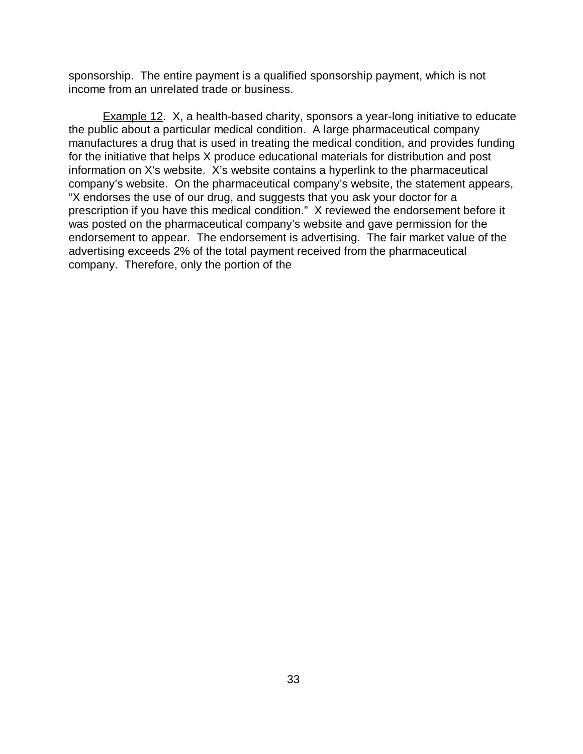sponsorship. The entire payment is a qualified sponsorship payment, which is not income from an unrelated trade or business.

Example 12. X, a health-based charity, sponsors a year-long initiative to educate the public about a particular medical condition. A large pharmaceutical company manufactures a drug that is used in treating the medical condition, and provides funding for the initiative that helps X produce educational materials for distribution and post information on X's website. X's website contains a hyperlink to the pharmaceutical company's website. On the pharmaceutical company's website, the statement appears, "X endorses the use of our drug, and suggests that you ask your doctor for a prescription if you have this medical condition." X reviewed the endorsement before it was posted on the pharmaceutical company's website and gave permission for the endorsement to appear. The endorsement is advertising. The fair market value of the advertising exceeds 2% of the total payment received from the pharmaceutical company. Therefore, only the portion of the